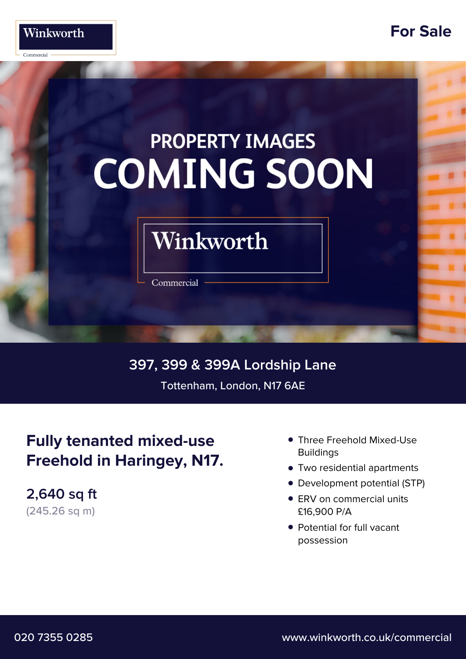

## **For Sale**

# **PROPERTY IMAGES COMING SOON**

# Winkworth

Commercial

**397, 399 & 399A Lordship Lane** Tottenham, London, N17 6AE

# **Fully tenanted mixed-use Freehold in Haringey, N17.**

**2,640 sq ft** (245.26 sq m)

- Three Freehold Mixed-Use **• Buildings**
- **•** Two residential apartments
- **•** Development potential (STP)
- ERV on commercial units **•** £16,900 P/A
- Potential for full vacant **•** possession